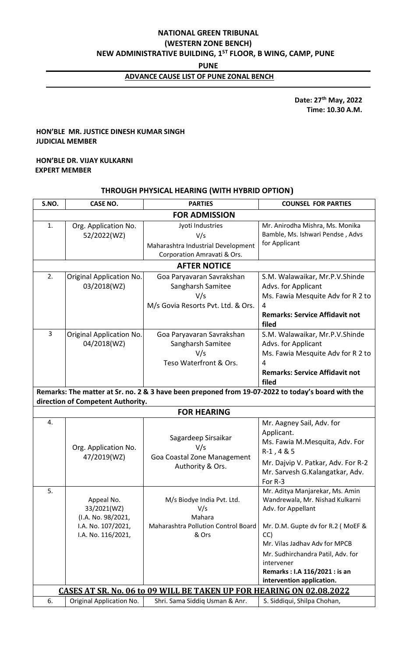# **NATIONAL GREEN TRIBUNAL (WESTERN ZONE BENCH) NEW ADMINISTRATIVE BUILDING, 1ST FLOOR, B WING, CAMP, PUNE**

**PUNE**

## **ADVANCE CAUSE LIST OF PUNE ZONAL BENCH**

 **Date: 27th May, 2022 Time: 10.30 A.M.**

#### **HON'BLE MR. JUSTICE DINESH KUMAR SINGH JUDICIAL MEMBER**

#### **HON'BLE DR. VIJAY KULKARNI EXPERT MEMBER**

## **THROUGH PHYSICAL HEARING (WITH HYBRID OPTION)**

| S.NO.                                                                                             | <b>CASE NO.</b>                   | <b>PARTIES</b>                      | <b>COUNSEL FOR PARTIES</b>                                         |  |  |  |
|---------------------------------------------------------------------------------------------------|-----------------------------------|-------------------------------------|--------------------------------------------------------------------|--|--|--|
| <b>FOR ADMISSION</b>                                                                              |                                   |                                     |                                                                    |  |  |  |
| 1.                                                                                                | Org. Application No.              | Jyoti Industries                    | Mr. Anirodha Mishra, Ms. Monika                                    |  |  |  |
|                                                                                                   | 52/2022(WZ)                       | V/s                                 | Bamble, Ms. Ishwari Pendse, Advs                                   |  |  |  |
|                                                                                                   |                                   | Maharashtra Industrial Development  | for Applicant                                                      |  |  |  |
|                                                                                                   |                                   | Corporation Amravati & Ors.         |                                                                    |  |  |  |
| <b>AFTER NOTICE</b>                                                                               |                                   |                                     |                                                                    |  |  |  |
| 2.                                                                                                | Original Application No.          | Goa Paryavaran Savrakshan           | S.M. Walawaikar, Mr.P.V.Shinde                                     |  |  |  |
|                                                                                                   | 03/2018(WZ)                       | Sangharsh Samitee                   | Advs. for Applicant                                                |  |  |  |
|                                                                                                   |                                   | V/s                                 | Ms. Fawia Mesquite Adv for R 2 to                                  |  |  |  |
|                                                                                                   |                                   | M/s Govia Resorts Pvt. Ltd. & Ors.  | 4                                                                  |  |  |  |
|                                                                                                   |                                   |                                     | <b>Remarks: Service Affidavit not</b><br>filed                     |  |  |  |
| 3                                                                                                 | Original Application No.          | Goa Paryavaran Savrakshan           | S.M. Walawaikar, Mr.P.V.Shinde                                     |  |  |  |
|                                                                                                   | 04/2018(WZ)                       | Sangharsh Samitee                   | Advs. for Applicant                                                |  |  |  |
|                                                                                                   |                                   | V/s                                 | Ms. Fawia Mesquite Adv for R 2 to                                  |  |  |  |
|                                                                                                   |                                   | Teso Waterfront & Ors.              | 4                                                                  |  |  |  |
|                                                                                                   |                                   |                                     | <b>Remarks: Service Affidavit not</b><br>filed                     |  |  |  |
| Remarks: The matter at Sr. no. 2 & 3 have been preponed from 19-07-2022 to today's board with the |                                   |                                     |                                                                    |  |  |  |
|                                                                                                   | direction of Competent Authority. |                                     |                                                                    |  |  |  |
|                                                                                                   |                                   | <b>FOR HEARING</b>                  |                                                                    |  |  |  |
| 4.                                                                                                |                                   |                                     | Mr. Aagney Sail, Adv. for                                          |  |  |  |
|                                                                                                   |                                   | Sagardeep Sirsaikar                 | Applicant.                                                         |  |  |  |
|                                                                                                   | Org. Application No.              | V/s                                 | Ms. Fawia M.Mesquita, Adv. For                                     |  |  |  |
|                                                                                                   | 47/2019(WZ)                       | Goa Coastal Zone Management         | $R-1, 4 & 5$                                                       |  |  |  |
|                                                                                                   |                                   | Authority & Ors.                    | Mr. Dajvip V. Patkar, Adv. For R-2                                 |  |  |  |
|                                                                                                   |                                   |                                     | Mr. Sarvesh G.Kalangatkar, Adv.                                    |  |  |  |
|                                                                                                   |                                   |                                     | For R-3                                                            |  |  |  |
| 5.                                                                                                | Appeal No.                        | M/s Biodye India Pvt. Ltd.          | Mr. Aditya Manjarekar, Ms. Amin<br>Wandrewala, Mr. Nishad Kulkarni |  |  |  |
|                                                                                                   | 33/2021(WZ)                       | V/s                                 | Adv. for Appellant                                                 |  |  |  |
|                                                                                                   | (I.A. No. 98/2021,                | Mahara                              |                                                                    |  |  |  |
|                                                                                                   | I.A. No. 107/2021,                | Maharashtra Pollution Control Board | Mr. D.M. Gupte dv for R.2 (MoEF &                                  |  |  |  |
|                                                                                                   | I.A. No. 116/2021,                | & Ors                               | CC)                                                                |  |  |  |
|                                                                                                   |                                   |                                     | Mr. Vilas Jadhav Adv for MPCB                                      |  |  |  |
|                                                                                                   |                                   |                                     | Mr. Sudhirchandra Patil, Adv. for                                  |  |  |  |
|                                                                                                   |                                   |                                     | intervener                                                         |  |  |  |
|                                                                                                   |                                   |                                     | Remarks: I.A 116/2021: is an<br>intervention application.          |  |  |  |
| <b>CASES AT SR. No. 06 to 09 WILL BE TAKEN UP FOR HEARING ON 02.08.2022</b>                       |                                   |                                     |                                                                    |  |  |  |
| 6.                                                                                                | Original Application No.          | Shri. Sama Siddiq Usman & Anr.      | S. Siddiqui, Shilpa Chohan,                                        |  |  |  |
|                                                                                                   |                                   |                                     |                                                                    |  |  |  |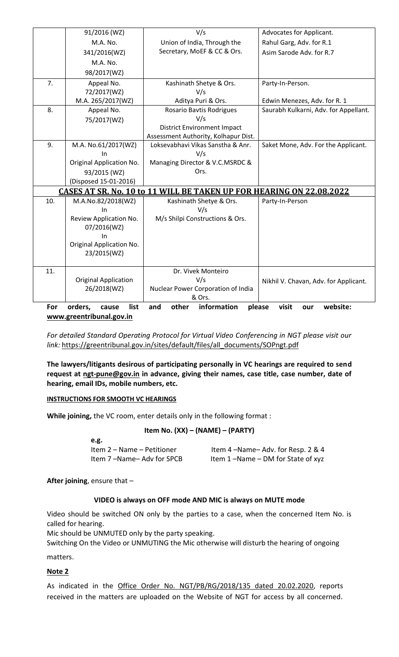|                                                                                                      | 91/2016 (WZ)                | V/s                                  | Advocates for Applicant.              |  |  |
|------------------------------------------------------------------------------------------------------|-----------------------------|--------------------------------------|---------------------------------------|--|--|
|                                                                                                      | M.A. No.                    | Union of India, Through the          | Rahul Garg, Adv. for R.1              |  |  |
|                                                                                                      | 341/2016(WZ)                | Secretary, MoEF & CC & Ors.          | Asim Sarode Adv. for R.7              |  |  |
|                                                                                                      | M.A. No.                    |                                      |                                       |  |  |
|                                                                                                      | 98/2017(WZ)                 |                                      |                                       |  |  |
| 7.                                                                                                   | Appeal No.                  | Kashinath Shetye & Ors.              | Party-In-Person.                      |  |  |
|                                                                                                      | 72/2017(WZ)                 | V/s                                  |                                       |  |  |
|                                                                                                      | M.A. 265/2017(WZ)           | Aditya Puri & Ors.                   | Edwin Menezes, Adv. for R. 1          |  |  |
| 8.                                                                                                   | Appeal No.                  | <b>Rosario Bavtis Rodrigues</b>      | Saurabh Kulkarni, Adv. for Appellant. |  |  |
|                                                                                                      | 75/2017(WZ)                 | V/s                                  |                                       |  |  |
|                                                                                                      |                             | <b>District Environment Impact</b>   |                                       |  |  |
|                                                                                                      |                             | Assessment Authority, Kolhapur Dist. |                                       |  |  |
| 9.                                                                                                   | M.A. No.61/2017(WZ)         | Loksevabhavi Vikas Sanstha & Anr.    | Saket Mone, Adv. For the Applicant.   |  |  |
|                                                                                                      | In                          | V/s                                  |                                       |  |  |
|                                                                                                      | Original Application No.    | Managing Director & V.C.MSRDC &      |                                       |  |  |
|                                                                                                      | 93/2015 (WZ)                | Ors.                                 |                                       |  |  |
|                                                                                                      | (Disposed 15-01-2016)       |                                      |                                       |  |  |
| CASES AT SR. No. 10 to 11 WILL BE TAKEN UP FOR HEARING ON 22.08.2022                                 |                             |                                      |                                       |  |  |
| 10.                                                                                                  | M.A.No.82/2018(WZ)          | Kashinath Shetye & Ors.              | Party-In-Person                       |  |  |
|                                                                                                      | In                          | V/s                                  |                                       |  |  |
|                                                                                                      | Review Application No.      | M/s Shilpi Constructions & Ors.      |                                       |  |  |
|                                                                                                      | 07/2016(WZ)                 |                                      |                                       |  |  |
|                                                                                                      | In                          |                                      |                                       |  |  |
|                                                                                                      | Original Application No.    |                                      |                                       |  |  |
|                                                                                                      | 23/2015(WZ)                 |                                      |                                       |  |  |
| 11.                                                                                                  |                             | Dr. Vivek Monteiro                   |                                       |  |  |
|                                                                                                      | <b>Original Application</b> | V/s                                  | Nikhil V. Chavan, Adv. for Applicant. |  |  |
|                                                                                                      | 26/2018(WZ)                 | Nuclear Power Corporation of India   |                                       |  |  |
|                                                                                                      |                             | & Ors.                               |                                       |  |  |
| information<br>website:<br>For<br>orders,<br>list<br>and<br>other<br>please<br>visit<br>cause<br>our |                             |                                      |                                       |  |  |
| www.greentribunal.gov.in                                                                             |                             |                                      |                                       |  |  |

*For detailed Standard Operating Protocol for Virtual Video Conferencing in NGT please visit our link:* [https://greentribunal.gov.in/sites/default/files/all\\_documents/SOPngt.pdf](https://greentribunal.gov.in/sites/default/files/all_documents/SOPngt.pdf)

**The lawyers/litigants desirous of participating personally in VC hearings are required to send request at [ngt-pune@gov.in](mailto:ngt-pune@gov.in) in advance, giving their names, case title, case number, date of hearing, email IDs, mobile numbers, etc.**

#### **INSTRUCTIONS FOR SMOOTH VC HEARINGS**

**While joining,** the VC room, enter details only in the following format :

#### **Item No. (XX) – (NAME) – (PARTY)**

| e.g.                       |                                   |
|----------------------------|-----------------------------------|
| Item 2 – Name – Petitioner | Item 4-Name-Adv. for Resp. 2 & 4  |
| Item 7-Name-Adv for SPCB   | Item 1-Name - DM for State of xyz |

**After joining**, ensure that –

#### **VIDEO is always on OFF mode AND MIC is always on MUTE mode**

Video should be switched ON only by the parties to a case, when the concerned Item No. is called for hearing.

Mic should be UNMUTED only by the party speaking.

Switching On the Video or UNMUTING the Mic otherwise will disturb the hearing of ongoing matters.

# **Note 2**

As indicated in the [Office Order No. NGT/PB/RG/2018/135 dated 20.02.2020,](https://greentribunal.gov.in/sites/default/files/office_orders/Office%20Order%2020.2.2020_0.pdf) reports received in the matters are uploaded on the Website of NGT for access by all concerned.